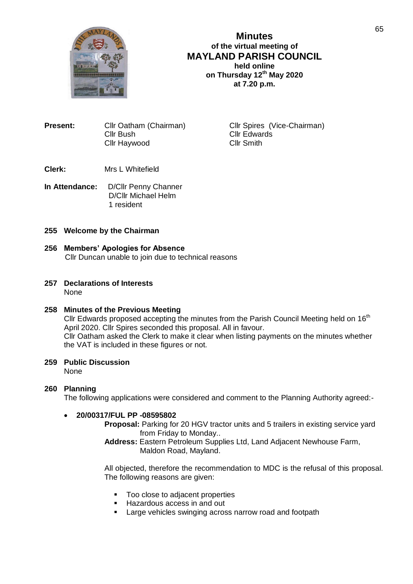

**Minutes of the virtual meeting of MAYLAND PARISH COUNCIL held online on Thursday 12 th May 2020 at 7.20 p.m.**

| <b>Present:</b> | Cllr Oatham (Chairman) |
|-----------------|------------------------|
|                 | Cllr Bush              |
|                 | Cllr Haywood           |

**Cllr Spires (Vice-Chairman)** Cllr Edwards Cllr Smith

- **Clerk:** Mrs L Whitefield
- **In Attendance:** D/Cllr Penny Channer D/Cllr Michael Helm 1 resident

## **255 Welcome by the Chairman**

- **256 Members' Apologies for Absence** Cllr Duncan unable to join due to technical reasons
- **257 Declarations of Interests** None

## **258 Minutes of the Previous Meeting**

Cllr Edwards proposed accepting the minutes from the Parish Council Meeting held on  $16<sup>th</sup>$ April 2020. Cllr Spires seconded this proposal. All in favour. Cllr Oatham asked the Clerk to make it clear when listing payments on the minutes whether the VAT is included in these figures or not.

# **259 Public Discussion**

None

## **260 Planning**

The following applications were considered and comment to the Planning Authority agreed:-

## **20/00317/FUL PP -08595802**

**Proposal:** Parking for 20 HGV tractor units and 5 trailers in existing service yard from Friday to Monday..

**Address:** Eastern Petroleum Supplies Ltd, Land Adjacent Newhouse Farm, Maldon Road, Mayland.

All objected, therefore the recommendation to MDC is the refusal of this proposal. The following reasons are given:

- Too close to adjacent properties
- **Hazardous access in and out**
- **Large vehicles swinging across narrow road and footpath**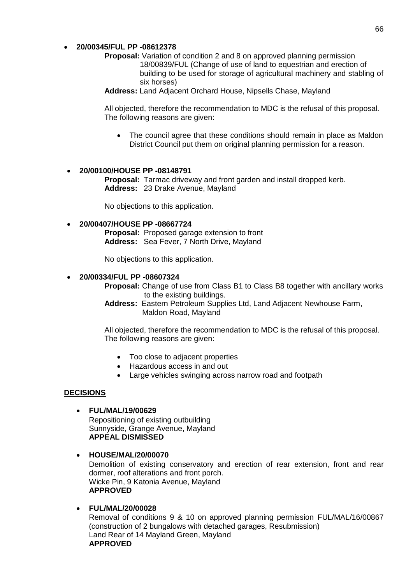### **20/00345/FUL PP -08612378**

- **Proposal:** Variation of condition 2 and 8 on approved planning permission 18/00839/FUL (Change of use of land to equestrian and erection of building to be used for storage of agricultural machinery and stabling of six horses)
- **Address:** Land Adjacent Orchard House, Nipsells Chase, Mayland

All objected, therefore the recommendation to MDC is the refusal of this proposal. The following reasons are given:

• The council agree that these conditions should remain in place as Maldon District Council put them on original planning permission for a reason.

#### **20/00100/HOUSE PP -08148791**

**Proposal:** Tarmac driveway and front garden and install dropped kerb. **Address:** 23 Drake Avenue, Mayland

No objections to this application.

**20/00407/HOUSE PP -08667724**

**Proposal:** Proposed garage extension to front **Address:** Sea Fever, 7 North Drive, Mayland

No objections to this application.

#### **20/00334/FUL PP -08607324**

**Proposal:** Change of use from Class B1 to Class B8 together with ancillary works to the existing buildings.

**Address:** Eastern Petroleum Supplies Ltd, Land Adjacent Newhouse Farm, Maldon Road, Mayland

All objected, therefore the recommendation to MDC is the refusal of this proposal. The following reasons are given:

- Too close to adjacent properties
- Hazardous access in and out
- Large vehicles swinging across narrow road and footpath

#### **DECISIONS**

- **FUL/MAL/19/00629** Repositioning of existing outbuilding Sunnyside, Grange Avenue, Mayland **APPEAL DISMISSED**
- **HOUSE/MAL/20/00070** Demolition of existing conservatory and erection of rear extension, front and rear dormer, roof alterations and front porch. Wicke Pin, 9 Katonia Avenue, Mayland **APPROVED**
- **FUL/MAL/20/00028** Removal of conditions 9 & 10 on approved planning permission FUL/MAL/16/00867 (construction of 2 bungalows with detached garages, Resubmission) Land Rear of 14 Mayland Green, Mayland **APPROVED**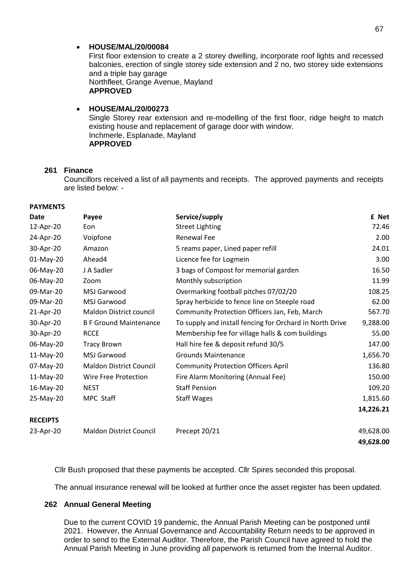#### **HOUSE/MAL/20/00084**

First floor extension to create a 2 storey dwelling, incorporate roof lights and recessed balconies, erection of single storey side extension and 2 no, two storey side extensions and a triple bay garage Northfleet, Grange Avenue, Mayland **APPROVED**

### **HOUSE/MAL/20/00273** Single Storey rear extension and re-modelling of the first floor, ridge height to match existing house and replacement of garage door with window. Inchmerle, Esplanade, Mayland **APPROVED**

## **261 Finance**

Councillors received a list of all payments and receipts. The approved payments and receipts are listed below: -

#### **PAYMENTS**

| <b>Date</b>     | Payee                          | Service/supply                                           | £ Net     |
|-----------------|--------------------------------|----------------------------------------------------------|-----------|
| 12-Apr-20       | Eon                            | <b>Street Lighting</b>                                   | 72.46     |
| 24-Apr-20       | Voipfone                       | <b>Renewal Fee</b>                                       | 2.00      |
| 30-Apr-20       | Amazon                         | 5 reams paper, Lined paper refill                        | 24.01     |
| 01-May-20       | Ahead4                         | Licence fee for Logmein                                  | 3.00      |
| 06-May-20       | J A Sadler                     | 3 bags of Compost for memorial garden                    | 16.50     |
| 06-May-20       | Zoom                           | Monthly subscription                                     | 11.99     |
| 09-Mar-20       | MSJ Garwood                    | Overmarking football pitches 07/02/20                    | 108.25    |
| 09-Mar-20       | <b>MSJ Garwood</b>             | Spray herbicide to fence line on Steeple road            | 62.00     |
| 21-Apr-20       | Maldon District council        | Community Protection Officers Jan, Feb, March            | 567.70    |
| 30-Apr-20       | <b>B F Ground Maintenance</b>  | To supply and install fencing for Orchard in North Drive | 9,288.00  |
| 30-Apr-20       | <b>RCCE</b>                    | Membership fee for village halls & com buildings         | 55.00     |
| 06-May-20       | <b>Tracy Brown</b>             | Hall hire fee & deposit refund 30/5                      | 147.00    |
| 11-May-20       | MSJ Garwood                    | <b>Grounds Maintenance</b>                               | 1,656.70  |
| 07-May-20       | <b>Maldon District Council</b> | <b>Community Protection Officers April</b>               | 136.80    |
| 11-May-20       | Wire Free Protection           | Fire Alarm Monitoring (Annual Fee)                       | 150.00    |
| 16-May-20       | <b>NEST</b>                    | <b>Staff Pension</b>                                     | 109.20    |
| 25-May-20       | MPC Staff                      | <b>Staff Wages</b>                                       | 1,815.60  |
|                 |                                |                                                          | 14,226.21 |
| <b>RECEIPTS</b> |                                |                                                          |           |
| 23-Apr-20       | <b>Maldon District Council</b> | Precept 20/21                                            | 49,628.00 |
|                 |                                |                                                          | 49,628.00 |

Cllr Bush proposed that these payments be accepted. Cllr Spires seconded this proposal.

The annual insurance renewal will be looked at further once the asset register has been updated.

### **262 Annual General Meeting**

Due to the current COVID 19 pandemic, the Annual Parish Meeting can be postponed until 2021. However, the Annual Governance and Accountability Return needs to be approved in order to send to the External Auditor. Therefore, the Parish Council have agreed to hold the Annual Parish Meeting in June providing all paperwork is returned from the Internal Auditor.